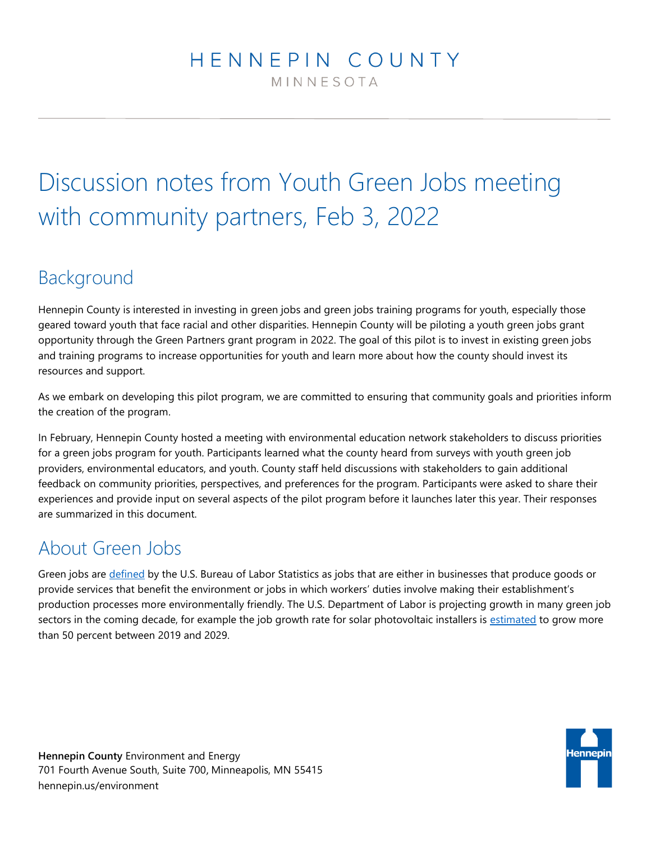## HENNEPIN COUNTY MINNESOTA

# Discussion notes from Youth Green Jobs meeting with community partners, Feb 3, 2022

## Background

Hennepin County is interested in investing in green jobs and green jobs training programs for youth, especially those geared toward youth that face racial and other disparities. Hennepin County will be piloting a youth green jobs grant opportunity through the Green Partners grant program in 2022. The goal of this pilot is to invest in existing green jobs and training programs to increase opportunities for youth and learn more about how the county should invest its resources and support.

As we embark on developing this pilot program, we are committed to ensuring that community goals and priorities inform the creation of the program.

In February, Hennepin County hosted a meeting with environmental education network stakeholders to discuss priorities for a green jobs program for youth. Participants learned what the county heard from surveys with youth green job providers, environmental educators, and youth. County staff held discussions with stakeholders to gain additional feedback on community priorities, perspectives, and preferences for the program. Participants were asked to share their experiences and provide input on several aspects of the pilot program before it launches later this year. Their responses are summarized in this document.

## About Green Jobs

Green jobs are [defined](https://www.bls.gov/green/) by the U.S. Bureau of Labor Statistics as jobs that are either in businesses that produce goods or provide services that benefit the environment or jobs in which workers' duties involve making their establishment's production processes more environmentally friendly. The U.S. Department of Labor is projecting growth in many green job sectors in the coming decade, for example the job growth rate for solar photovoltaic installers is [estimated](https://blog.dol.gov/2021/04/21/where-the-green-jobs-grow) to grow more than 50 percent between 2019 and 2029.

**Hennepin County** Environment and Energy 701 Fourth Avenue South, Suite 700, Minneapolis, MN 55415 hennepin.us/environment

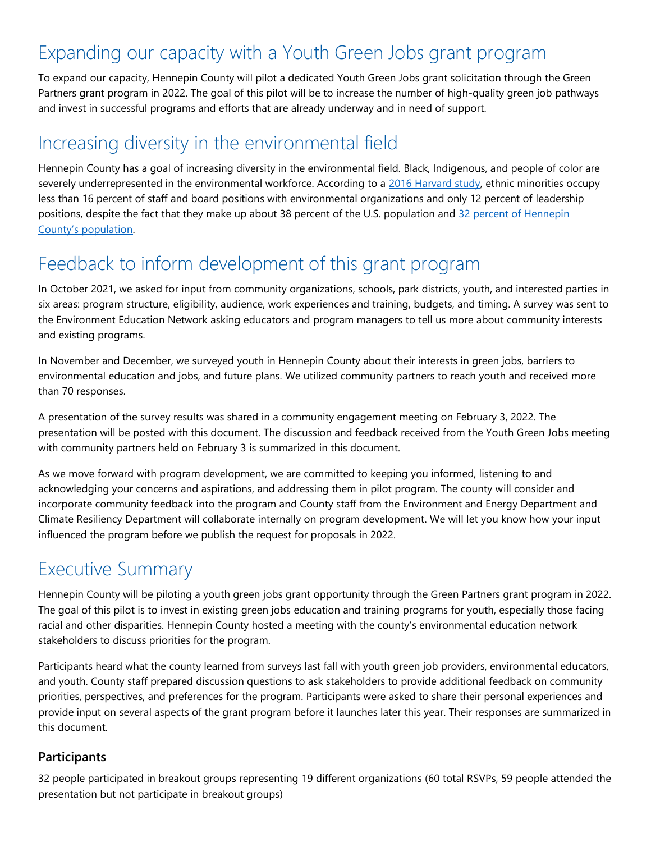## Expanding our capacity with a Youth Green Jobs grant program

To expand our capacity, Hennepin County will pilot a dedicated Youth Green Jobs grant solicitation through the Green Partners grant program in 2022. The goal of this pilot will be to increase the number of high-quality green job pathways and invest in successful programs and efforts that are already underway and in need of support.

## Increasing diversity in the environmental field

Hennepin County has a goal of increasing diversity in the environmental field. Black, Indigenous, and people of color are severely underrepresented in the environmental workforce. According to a [2016 Harvard study,](http://orgs.law.harvard.edu/els/files/2014/02/FullReport_Green2.0_FINALReducedSize.pdf) ethnic minorities occupy less than 16 percent of staff and board positions with environmental organizations and only 12 percent of leadership positions, despite the fact that they make up about 38 percent of the U.S. population and 32 percent of Hennepin [County's population](https://www.census.gov/quickfacts/fact/table/hennepincountyminnesota,minneapoliscityminnesota/PST045219).

## Feedback to inform development of this grant program

In October 2021, we asked for input from community organizations, schools, park districts, youth, and interested parties in six areas: program structure, eligibility, audience, work experiences and training, budgets, and timing. A survey was sent to the Environment Education Network asking educators and program managers to tell us more about community interests and existing programs.

In November and December, we surveyed youth in Hennepin County about their interests in green jobs, barriers to environmental education and jobs, and future plans. We utilized community partners to reach youth and received more than 70 responses.

A presentation of the survey results was shared in a community engagement meeting on February 3, 2022. The presentation will be posted with this document. The discussion and feedback received from the Youth Green Jobs meeting with community partners held on February 3 is summarized in this document.

As we move forward with program development, we are committed to keeping you informed, listening to and acknowledging your concerns and aspirations, and addressing them in pilot program. The county will consider and incorporate community feedback into the program and County staff from the Environment and Energy Department and Climate Resiliency Department will collaborate internally on program development. We will let you know how your input influenced the program before we publish the request for proposals in 2022.

## Executive Summary

Hennepin County will be piloting a youth green jobs grant opportunity through the Green Partners grant program in 2022. The goal of this pilot is to invest in existing green jobs education and training programs for youth, especially those facing racial and other disparities. Hennepin County hosted a meeting with the county's environmental education network stakeholders to discuss priorities for the program.

Participants heard what the county learned from surveys last fall with youth green job providers, environmental educators, and youth. County staff prepared discussion questions to ask stakeholders to provide additional feedback on community priorities, perspectives, and preferences for the program. Participants were asked to share their personal experiences and provide input on several aspects of the grant program before it launches later this year. Their responses are summarized in this document.

## **Participants**

32 people participated in breakout groups representing 19 different organizations (60 total RSVPs, 59 people attended the presentation but not participate in breakout groups)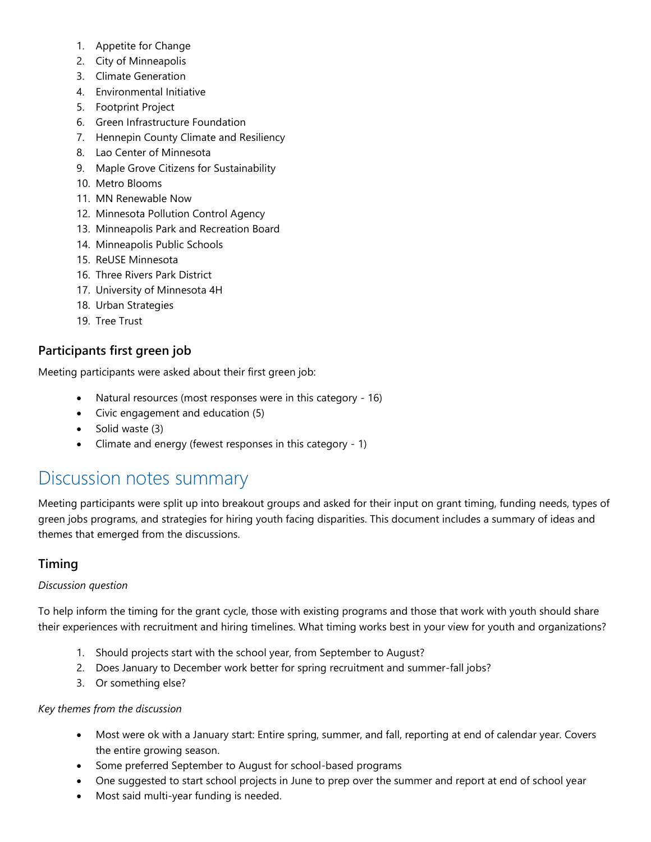- 1. Appetite for Change
- 2. City of Minneapolis
- 3. Climate Generation
- 4. Environmental Initiative
- 5. Footprint Project
- 6. Green Infrastructure Foundation
- 7. Hennepin County Climate and Resiliency
- 8. Lao Center of Minnesota
- 9. Maple Grove Citizens for Sustainability
- 10. Metro Blooms
- 11. MN Renewable Now
- 12. Minnesota Pollution Control Agency
- 13. Minneapolis Park and Recreation Board
- 14. Minneapolis Public Schools
- 15. ReUSE Minnesota
- 16. Three Rivers Park District
- 17. University of Minnesota 4H
- 18. Urban Strategies
- 19. Tree Trust

## **Participants first green job**

Meeting participants were asked about their first green job:

- Natural resources (most responses were in this category 16)
- Civic engagement and education (5)
- Solid waste (3)
- Climate and energy (fewest responses in this category 1)

## Discussion notes summary

Meeting participants were split up into breakout groups and asked for their input on grant timing, funding needs, types of green jobs programs, and strategies for hiring youth facing disparities. This document includes a summary of ideas and themes that emerged from the discussions.

## **Timing**

### *Discussion question*

To help inform the timing for the grant cycle, those with existing programs and those that work with youth should share their experiences with recruitment and hiring timelines. What timing works best in your view for youth and organizations?

- 1. Should projects start with the school year, from September to August?
- 2. Does January to December work better for spring recruitment and summer-fall jobs?
- 3. Or something else?

### *Key themes from the discussion*

- Most were ok with a January start: Entire spring, summer, and fall, reporting at end of calendar year. Covers the entire growing season.
- Some preferred September to August for school-based programs
- One suggested to start school projects in June to prep over the summer and report at end of school year
- Most said multi-year funding is needed.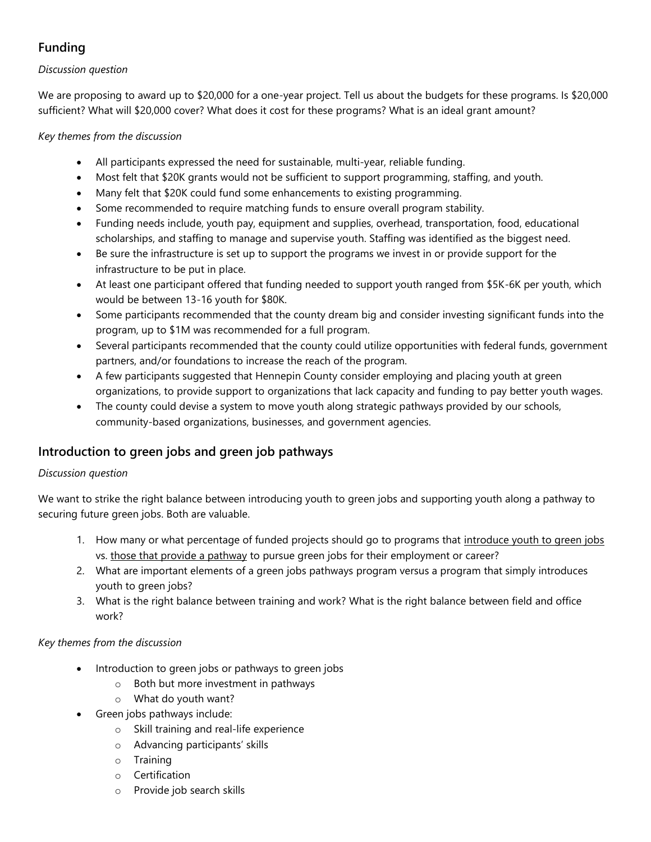## **Funding**

### *Discussion question*

We are proposing to award up to \$20,000 for a one-year project. Tell us about the budgets for these programs. Is \$20,000 sufficient? What will \$20,000 cover? What does it cost for these programs? What is an ideal grant amount?

*Key themes from the discussion*

- All participants expressed the need for sustainable, multi-year, reliable funding.
- Most felt that \$20K grants would not be sufficient to support programming, staffing, and youth.
- Many felt that \$20K could fund some enhancements to existing programming.
- Some recommended to require matching funds to ensure overall program stability.
- Funding needs include, youth pay, equipment and supplies, overhead, transportation, food, educational scholarships, and staffing to manage and supervise youth. Staffing was identified as the biggest need.
- Be sure the infrastructure is set up to support the programs we invest in or provide support for the infrastructure to be put in place.
- At least one participant offered that funding needed to support youth ranged from \$5K-6K per youth, which would be between 13-16 youth for \$80K.
- Some participants recommended that the county dream big and consider investing significant funds into the program, up to \$1M was recommended for a full program.
- Several participants recommended that the county could utilize opportunities with federal funds, government partners, and/or foundations to increase the reach of the program.
- A few participants suggested that Hennepin County consider employing and placing youth at green organizations, to provide support to organizations that lack capacity and funding to pay better youth wages.
- The county could devise a system to move youth along strategic pathways provided by our schools, community-based organizations, businesses, and government agencies.

## **Introduction to green jobs and green job pathways**

### *Discussion question*

We want to strike the right balance between introducing youth to green jobs and supporting youth along a pathway to securing future green jobs. Both are valuable.

- 1. How many or what percentage of funded projects should go to programs that introduce youth to green jobs vs. those that provide a pathway to pursue green jobs for their employment or career?
- 2. What are important elements of a green jobs pathways program versus a program that simply introduces youth to green jobs?
- 3. What is the right balance between training and work? What is the right balance between field and office work?

## *Key themes from the discussion*

- Introduction to green jobs or pathways to green jobs
	- o Both but more investment in pathways
	- o What do youth want?
- Green jobs pathways include:
	- o Skill training and real-life experience
	- o Advancing participants' skills
	- o Training
	- o Certification
	- o Provide job search skills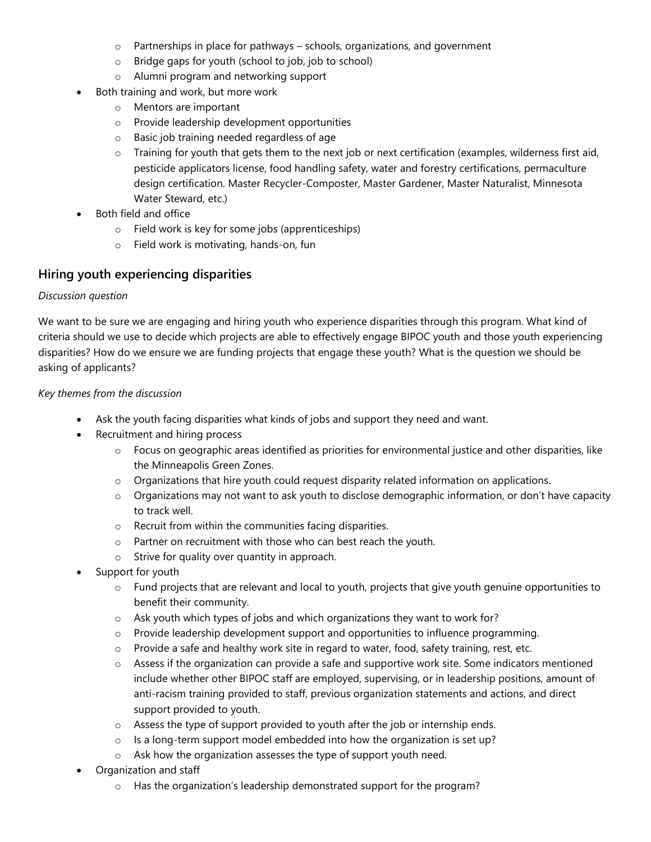- o Partnerships in place for pathways schools, organizations, and government
- o Bridge gaps for youth (school to job, job to school)
- o Alumni program and networking support
- Both training and work, but more work
	- o Mentors are important
	- o Provide leadership development opportunities
	- o Basic job training needed regardless of age
	- o Training for youth that gets them to the next job or next certification (examples, wilderness first aid, pesticide applicators license, food handling safety, water and forestry certifications, permaculture design certification. Master Recycler-Composter, Master Gardener, Master Naturalist, Minnesota Water Steward, etc.)
- Both field and office
	- o Field work is key for some jobs (apprenticeships)
	- o Field work is motivating, hands-on, fun

### **Hiring youth experiencing disparities**

### *Discussion question*

We want to be sure we are engaging and hiring youth who experience disparities through this program. What kind of criteria should we use to decide which projects are able to effectively engage BIPOC youth and those youth experiencing disparities? How do we ensure we are funding projects that engage these youth? What is the question we should be asking of applicants?

### *Key themes from the discussion*

- Ask the youth facing disparities what kinds of jobs and support they need and want.
- Recruitment and hiring process
	- o Focus on geographic areas identified as priorities for environmental justice and other disparities, like the Minneapolis Green Zones.
	- $\circ$  Organizations that hire youth could request disparity related information on applications.
	- o Organizations may not want to ask youth to disclose demographic information, or don't have capacity to track well.
	- o Recruit from within the communities facing disparities.
	- o Partner on recruitment with those who can best reach the youth.
	- o Strive for quality over quantity in approach.
- Support for youth
	- $\circ$  Fund projects that are relevant and local to youth, projects that give youth genuine opportunities to benefit their community.
	- o Ask youth which types of jobs and which organizations they want to work for?
	- $\circ$  Provide leadership development support and opportunities to influence programming.
	- o Provide a safe and healthy work site in regard to water, food, safety training, rest, etc.
	- $\circ$  Assess if the organization can provide a safe and supportive work site. Some indicators mentioned include whether other BIPOC staff are employed, supervising, or in leadership positions, amount of anti-racism training provided to staff, previous organization statements and actions, and direct support provided to youth.
	- o Assess the type of support provided to youth after the job or internship ends.
	- o Is a long-term support model embedded into how the organization is set up?
	- o Ask how the organization assesses the type of support youth need.
- Organization and staff
	- o Has the organization's leadership demonstrated support for the program?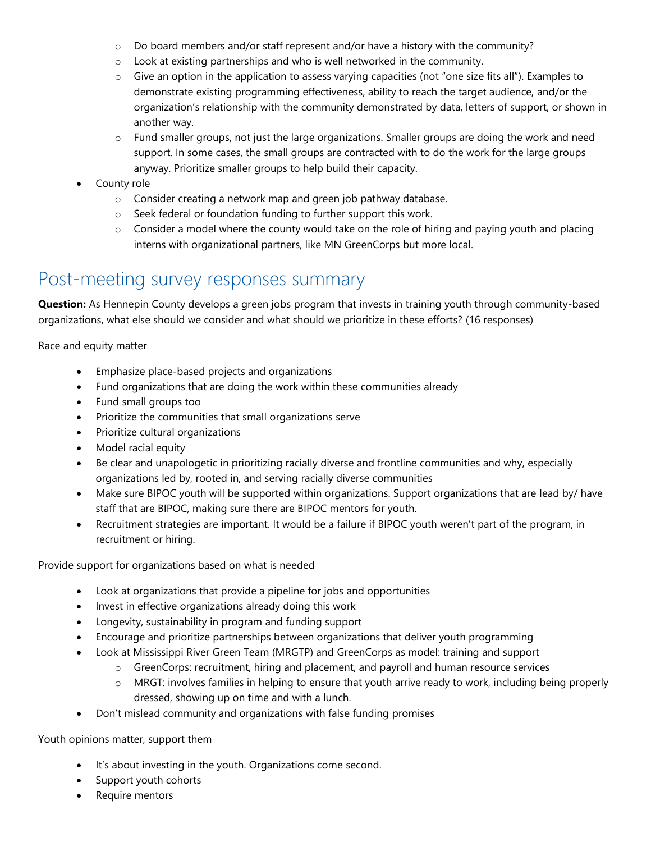- $\circ$  Do board members and/or staff represent and/or have a history with the community?
- o Look at existing partnerships and who is well networked in the community.
- $\circ$  Give an option in the application to assess varying capacities (not "one size fits all"). Examples to demonstrate existing programming effectiveness, ability to reach the target audience, and/or the organization's relationship with the community demonstrated by data, letters of support, or shown in another way.
- $\circ$  Fund smaller groups, not just the large organizations. Smaller groups are doing the work and need support. In some cases, the small groups are contracted with to do the work for the large groups anyway. Prioritize smaller groups to help build their capacity.
- County role
	- o Consider creating a network map and green job pathway database.
	- o Seek federal or foundation funding to further support this work.
	- $\circ$  Consider a model where the county would take on the role of hiring and paying youth and placing interns with organizational partners, like MN GreenCorps but more local.

## Post-meeting survey responses summary

**Question:** As Hennepin County develops a green jobs program that invests in training youth through community-based organizations, what else should we consider and what should we prioritize in these efforts? (16 responses)

Race and equity matter

- Emphasize place-based projects and organizations
- Fund organizations that are doing the work within these communities already
- Fund small groups too
- Prioritize the communities that small organizations serve
- Prioritize cultural organizations
- Model racial equity
- Be clear and unapologetic in prioritizing racially diverse and frontline communities and why, especially organizations led by, rooted in, and serving racially diverse communities
- Make sure BIPOC youth will be supported within organizations. Support organizations that are lead by/ have staff that are BIPOC, making sure there are BIPOC mentors for youth.
- Recruitment strategies are important. It would be a failure if BIPOC youth weren't part of the program, in recruitment or hiring.

Provide support for organizations based on what is needed

- Look at organizations that provide a pipeline for jobs and opportunities
- Invest in effective organizations already doing this work
- Longevity, sustainability in program and funding support
- Encourage and prioritize partnerships between organizations that deliver youth programming
- Look at Mississippi River Green Team (MRGTP) and GreenCorps as model: training and support
	- $\circ$  GreenCorps: recruitment, hiring and placement, and payroll and human resource services
	- o MRGT: involves families in helping to ensure that youth arrive ready to work, including being properly dressed, showing up on time and with a lunch.
- Don't mislead community and organizations with false funding promises

Youth opinions matter, support them

- It's about investing in the youth. Organizations come second.
- Support youth cohorts
- Require mentors